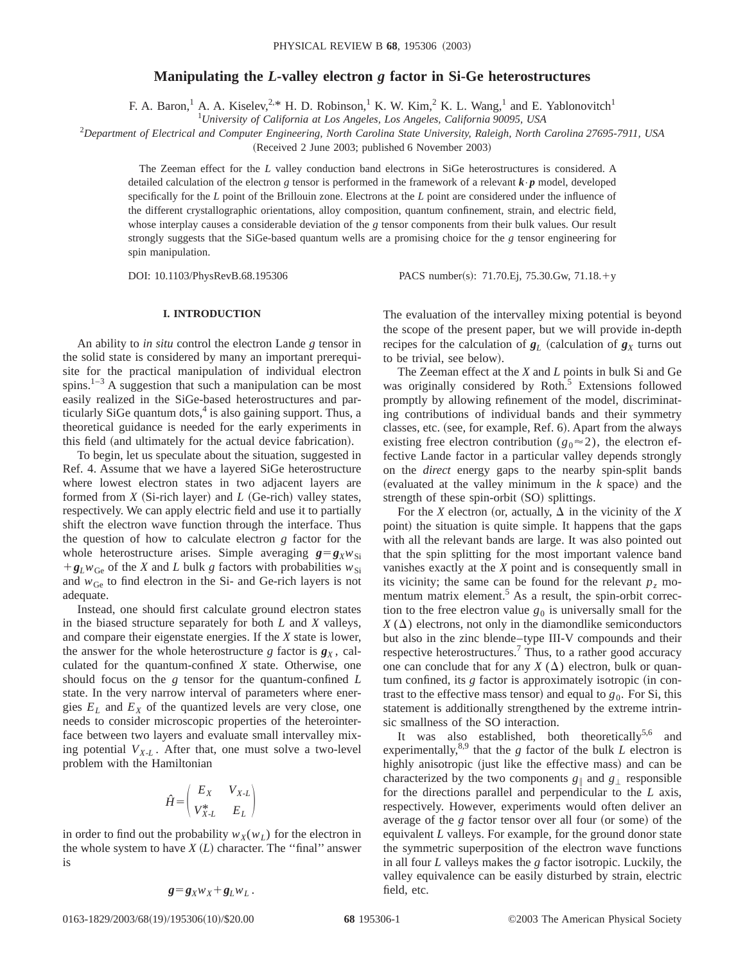# **Manipulating the** *L***-valley electron** *g* **factor in Si-Ge heterostructures**

F. A. Baron,<sup>1</sup> A. A. Kiselev,<sup>2,\*</sup> H. D. Robinson,<sup>1</sup> K. W. Kim,<sup>2</sup> K. L. Wang,<sup>1</sup> and E. Yablonovitch<sup>1</sup>

1 *University of California at Los Angeles, Los Angeles, California 90095, USA*

2 *Department of Electrical and Computer Engineering, North Carolina State University, Raleigh, North Carolina 27695-7911, USA*

(Received 2 June 2003; published 6 November 2003)

The Zeeman effect for the *L* valley conduction band electrons in SiGe heterostructures is considered. A detailed calculation of the electron *g* tensor is performed in the framework of a relevant *k*•*p* model, developed specifically for the *L* point of the Brillouin zone. Electrons at the *L* point are considered under the influence of the different crystallographic orientations, alloy composition, quantum confinement, strain, and electric field, whose interplay causes a considerable deviation of the *g* tensor components from their bulk values. Our result strongly suggests that the SiGe-based quantum wells are a promising choice for the *g* tensor engineering for spin manipulation.

DOI: 10.1103/PhysRevB.68.195306 PACS number(s): 71.70.Ej, 75.30.Gw, 71.18.+y

## **I. INTRODUCTION**

An ability to *in situ* control the electron Lande *g* tensor in the solid state is considered by many an important prerequisite for the practical manipulation of individual electron spins.<sup>1–3</sup> A suggestion that such a manipulation can be most easily realized in the SiGe-based heterostructures and particularly SiGe quantum dots, $4$  is also gaining support. Thus, a theoretical guidance is needed for the early experiments in this field (and ultimately for the actual device fabrication).

To begin, let us speculate about the situation, suggested in Ref. 4. Assume that we have a layered SiGe heterostructure where lowest electron states in two adjacent layers are formed from  $X$  (Si-rich layer) and  $L$  (Ge-rich) valley states, respectively. We can apply electric field and use it to partially shift the electron wave function through the interface. Thus the question of how to calculate electron *g* factor for the whole heterostructure arises. Simple averaging  $g = g_X w_{Si}$  $+g_Lw_G$  of the *X* and *L* bulk *g* factors with probabilities  $w_{Si}$ and  $w_{\text{Ge}}$  to find electron in the Si- and Ge-rich layers is not adequate.

Instead, one should first calculate ground electron states in the biased structure separately for both *L* and *X* valleys, and compare their eigenstate energies. If the *X* state is lower, the answer for the whole heterostructure *g* factor is  $g_X$ , calculated for the quantum-confined *X* state. Otherwise, one should focus on the *g* tensor for the quantum-confined *L* state. In the very narrow interval of parameters where energies  $E_L$  and  $E_X$  of the quantized levels are very close, one needs to consider microscopic properties of the heterointerface between two layers and evaluate small intervalley mixing potential  $V_{X-L}$ . After that, one must solve a two-level problem with the Hamiltonian

$$
\hat{H} = \begin{pmatrix} E_X & V_{X \cdot L} \\ V_{X \cdot L}^* & E_L \end{pmatrix}
$$

in order to find out the probability  $w_X(w_L)$  for the electron in the whole system to have  $X(L)$  character. The "final" answer is

$$
g = g_X w_X + g_L w_L.
$$

The evaluation of the intervalley mixing potential is beyond the scope of the present paper, but we will provide in-depth recipes for the calculation of  $g_L$  (calculation of  $g_X$  turns out to be trivial, see below).

The Zeeman effect at the *X* and *L* points in bulk Si and Ge was originally considered by Roth.<sup>5</sup> Extensions followed promptly by allowing refinement of the model, discriminating contributions of individual bands and their symmetry classes, etc. (see, for example, Ref. 6). Apart from the always existing free electron contribution ( $g_0 \approx 2$ ), the electron effective Lande factor in a particular valley depends strongly on the *direct* energy gaps to the nearby spin-split bands  $(evaluate d at the valley minimum in the  $k$  space) and the$ strength of these spin-orbit  $(SO)$  splittings.

For the *X* electron (or, actually,  $\Delta$  in the vicinity of the *X* point) the situation is quite simple. It happens that the gaps with all the relevant bands are large. It was also pointed out that the spin splitting for the most important valence band vanishes exactly at the *X* point and is consequently small in its vicinity; the same can be found for the relevant  $p_z$  momentum matrix element.<sup>5</sup> As a result, the spin-orbit correction to the free electron value  $g_0$  is universally small for the  $X(\Delta)$  electrons, not only in the diamondlike semiconductors but also in the zinc blende–type III-V compounds and their respective heterostructures.<sup>7</sup> Thus, to a rather good accuracy one can conclude that for any  $X(\Delta)$  electron, bulk or quan $t$ um confined, its  $g$  factor is approximately isotropic (in contrast to the effective mass tensor) and equal to  $g_0$ . For Si, this statement is additionally strengthened by the extreme intrinsic smallness of the SO interaction.

It was also established, both theoretically<sup>5,6</sup> and experimentally,<sup>8,9</sup> that the *g* factor of the bulk *L* electron is highly anisotropic (just like the effective mass) and can be characterized by the two components  $g_{\parallel}$  and  $g_{\perp}$  responsible for the directions parallel and perpendicular to the *L* axis, respectively. However, experiments would often deliver an average of the *g* factor tensor over all four (or some) of the equivalent *L* valleys. For example, for the ground donor state the symmetric superposition of the electron wave functions in all four *L* valleys makes the *g* factor isotropic. Luckily, the valley equivalence can be easily disturbed by strain, electric field, etc.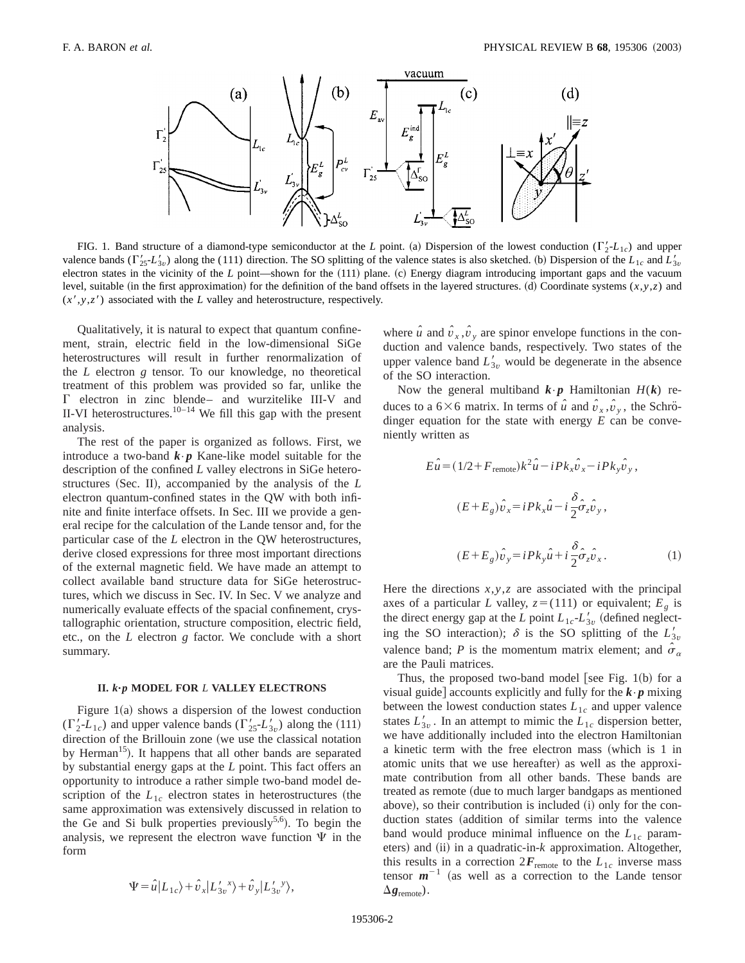

FIG. 1. Band structure of a diamond-type semiconductor at the *L* point. (a) Dispersion of the lowest conduction ( $\Gamma'_2$ - $L_{1c}$ ) and upper valence bands ( $\Gamma'_{25}$ -*L*<sub>3*v*</sub>) along the (111) direction. The SO splitting of the valence states is also sketched. (b) Dispersion of the  $L_{1c}$  and  $L'_{3v}$ electron states in the vicinity of the *L* point—shown for the (111) plane. (c) Energy diagram introducing important gaps and the vacuum level, suitable (in the first approximation) for the definition of the band offsets in the layered structures. (d) Coordinate systems  $(x, y, z)$  and  $(x', y, z')$  associated with the *L* valley and heterostructure, respectively.

Qualitatively, it is natural to expect that quantum confinement, strain, electric field in the low-dimensional SiGe heterostructures will result in further renormalization of the *L* electron *g* tensor. To our knowledge, no theoretical treatment of this problem was provided so far, unlike the  $\Gamma$  electron in zinc blende– and wurzitelike III-V and II-VI heterostructures.<sup>10–14</sup> We fill this gap with the present analysis.

The rest of the paper is organized as follows. First, we introduce a two-band  $\mathbf{k} \cdot \mathbf{p}$  Kane-like model suitable for the description of the confined *L* valley electrons in SiGe heterostructures (Sec. II), accompanied by the analysis of the *L* electron quantum-confined states in the QW with both infinite and finite interface offsets. In Sec. III we provide a general recipe for the calculation of the Lande tensor and, for the particular case of the *L* electron in the QW heterostructures, derive closed expressions for three most important directions of the external magnetic field. We have made an attempt to collect available band structure data for SiGe heterostructures, which we discuss in Sec. IV. In Sec. V we analyze and numerically evaluate effects of the spacial confinement, crystallographic orientation, structure composition, electric field, etc., on the *L* electron *g* factor. We conclude with a short summary.

### **II.** *k***"***p* **MODEL FOR** *L* **VALLEY ELECTRONS**

Figure  $1(a)$  shows a dispersion of the lowest conduction  $(\Gamma'_2 - L_{1c})$  and upper valence bands  $(\Gamma'_{25} - L'_{3v})$  along the (111) direction of the Brillouin zone (we use the classical notation by Herman<sup>15</sup>). It happens that all other bands are separated by substantial energy gaps at the *L* point. This fact offers an opportunity to introduce a rather simple two-band model description of the  $L_{1c}$  electron states in heterostructures (the same approximation was extensively discussed in relation to the Ge and Si bulk properties previously<sup>5,6</sup>). To begin the analysis, we represent the electron wave function  $\Psi$  in the form

$$
\Psi = \hat{u}|L_{1c}\rangle + \hat{v}_x|L'_{3v}\rangle + \hat{v}_y|L'_{3v}\rangle,
$$

where  $\hat{u}$  and  $\hat{v}_x$ ,  $\hat{v}_y$  are spinor envelope functions in the conduction and valence bands, respectively. Two states of the upper valence band  $L'_{3v}$  would be degenerate in the absence of the SO interaction.

Now the general multiband  $\mathbf{k} \cdot \mathbf{p}$  Hamiltonian  $H(\mathbf{k})$  reduces to a  $6\times6$  matrix. In terms of  $\hat{u}$  and  $\hat{v}_x$ ,  $\hat{v}_y$ , the Schrödinger equation for the state with energy *E* can be conveniently written as

$$
E\hat{u} = (1/2 + F_{\text{remote}})k^2\hat{u} - iPk_x\hat{v}_x - iPk_y\hat{v}_y,
$$
  

$$
(E + E_g)\hat{v}_x = iPk_x\hat{u} - i\frac{\delta}{2}\hat{\sigma}_z\hat{v}_y,
$$
  

$$
(E + E_g)\hat{v}_y = iPk_y\hat{u} + i\frac{\delta}{2}\hat{\sigma}_z\hat{v}_x.
$$
 (1)

Here the directions *x*,*y*,*z* are associated with the principal axes of a particular *L* valley,  $z = (111)$  or equivalent;  $E_g$  is the direct energy gap at the *L* point  $L_{1c}$ - $L'_{3v}$  (defined neglecting the SO interaction);  $\delta$  is the SO splitting of the  $L'_{3v}$ valence band; *P* is the momentum matrix element; and  $\hat{\sigma}_{\alpha}$ are the Pauli matrices.

Thus, the proposed two-band model [see Fig.  $1(b)$  for a visual guide accounts explicitly and fully for the  $\mathbf{k} \cdot \mathbf{p}$  mixing between the lowest conduction states  $L_{1c}$  and upper valence states  $L'_{3v}$ . In an attempt to mimic the  $L_{1c}$  dispersion better, we have additionally included into the electron Hamiltonian a kinetic term with the free electron mass (which is  $1$  in atomic units that we use hereafter) as well as the approximate contribution from all other bands. These bands are treated as remote (due to much larger bandgaps as mentioned above), so their contribution is included (i) only for the conduction states (addition of similar terms into the valence band would produce minimal influence on the  $L_{1c}$  parameters) and (ii) in a quadratic-in- $k$  approximation. Altogether, this results in a correction  $2F_{\text{remote}}$  to the  $L_{1c}$  inverse mass tensor  $m^{-1}$  (as well as a correction to the Lande tensor  $\Delta$ **g**<sub>remote</sub>).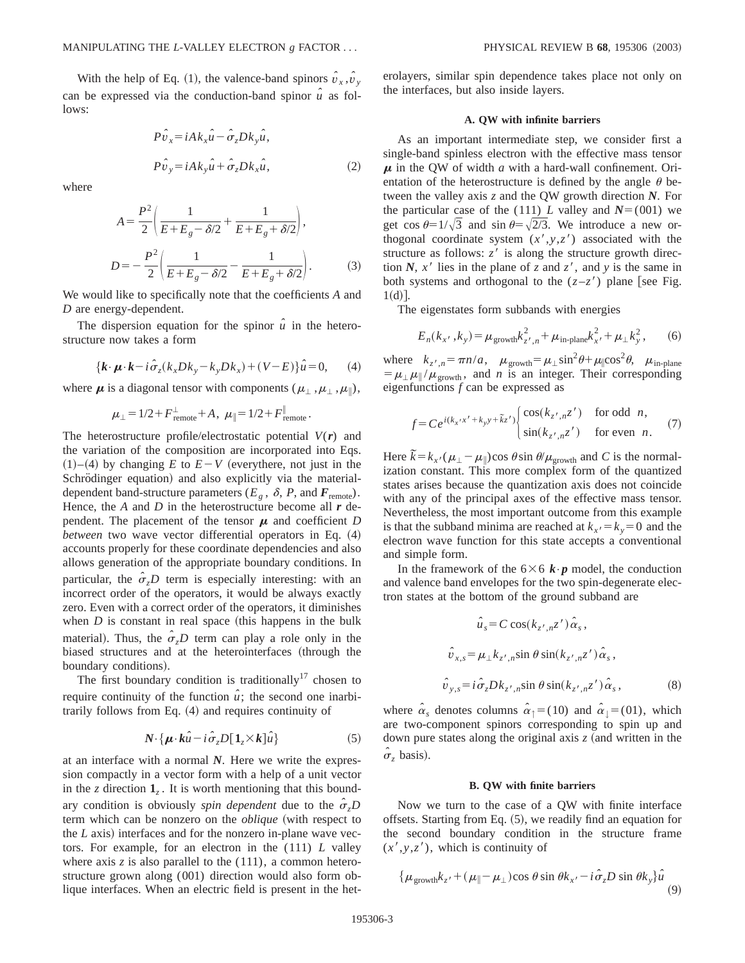With the help of Eq. (1), the valence-band spinors  $\hat{v}_x$ ,  $\hat{v}_y$ can be expressed via the conduction-band spinor  $\hat{u}$  as follows:

$$
P\hat{v}_x = iAk_x\hat{u} - \hat{\sigma}_z Dk_y\hat{u},
$$
  

$$
P\hat{v}_y = iAk_y\hat{u} + \hat{\sigma}_z Dk_x\hat{u},
$$
 (2)

where

$$
A = \frac{P^2}{2} \left( \frac{1}{E + E_g - \delta/2} + \frac{1}{E + E_g + \delta/2} \right),
$$
  

$$
D = -\frac{P^2}{2} \left( \frac{1}{E + E_g - \delta/2} - \frac{1}{E + E_g + \delta/2} \right).
$$
 (3)

We would like to specifically note that the coefficients *A* and *D* are energy-dependent.

The dispersion equation for the spinor  $\hat{u}$  in the heterostructure now takes a form

$$
\{\boldsymbol{k} \cdot \boldsymbol{\mu} \cdot \boldsymbol{k} - i \hat{\sigma}_z(k_x D k_y - k_y D k_x) + (V - E)\}\hat{\boldsymbol{u}} = 0,\qquad(4)
$$

where  $\mu$  is a diagonal tensor with components ( $\mu_{\perp}, \mu_{\perp}, \mu_{\parallel}$ ),

$$
\mu_{\perp} = 1/2 + F_{\text{remote}}^{\perp} + A, \ \mu_{\parallel} = 1/2 + F_{\text{remote}}^{\parallel}.
$$

The heterostructure profile/electrostatic potential *V*(*r*) and the variation of the composition are incorporated into Eqs.  $(1)$ – $(4)$  by changing *E* to  $E-V$  (everythere, not just in the Schrödinger equation) and also explicitly via the materialdependent band-structure parameters ( $E_g$ ,  $\delta$ , *P*, and  $\vec{F}_{\text{remote}}$ ). Hence, the *A* and *D* in the heterostructure become all *r* dependent. The placement of the tensor  $\mu$  and coefficient *D between* two wave vector differential operators in Eq.  $(4)$ accounts properly for these coordinate dependencies and also allows generation of the appropriate boundary conditions. In particular, the  $\hat{\sigma}_z D$  term is especially interesting: with an incorrect order of the operators, it would be always exactly zero. Even with a correct order of the operators, it diminishes when  $D$  is constant in real space (this happens in the bulk material). Thus, the  $\hat{\sigma}_zD$  term can play a role only in the biased structures and at the heterointerfaces (through the boundary conditions).

The first boundary condition is traditionally<sup>17</sup> chosen to require continuity of the function  $\hat{u}$ ; the second one inarbitrarily follows from Eq. (4) and requires continuity of

$$
N \cdot \{ \mu \cdot k\hat{u} - i\hat{\sigma}_z D[\mathbf{1}_z \times k] \hat{u} \}
$$
 (5)

at an interface with a normal *N*. Here we write the expression compactly in a vector form with a help of a unit vector in the *z* direction  $\mathbf{1}_z$ . It is worth mentioning that this boundary condition is obviously *spin dependent* due to the  $\hat{\sigma}$ <sub>*z</sub>D*</sub> term which can be nonzero on the *oblique* (with respect to the  $L$  axis) interfaces and for the nonzero in-plane wave vectors. For example, for an electron in the (111) *L* valley where axis  $\zeta$  is also parallel to the  $(111)$ , a common heterostructure grown along (001) direction would also form oblique interfaces. When an electric field is present in the heterolayers, similar spin dependence takes place not only on the interfaces, but also inside layers.

#### **A. QW with infinite barriers**

As an important intermediate step, we consider first a single-band spinless electron with the effective mass tensor  $\mu$  in the QW of width  $a$  with a hard-wall confinement. Orientation of the heterostructure is defined by the angle  $\theta$  between the valley axis *z* and the QW growth direction *N*. For the particular case of the (111) *L* valley and  $N=(001)$  we get cos  $\theta=1/\sqrt{3}$  and sin  $\theta=\sqrt{2/3}$ . We introduce a new orthogonal coordinate system  $(x', y, z')$  associated with the structure as follows:  $z<sup>7</sup>$  is along the structure growth direction *N*,  $x'$  lies in the plane of *z* and  $z'$ , and *y* is the same in both systems and orthogonal to the  $(z-z')$  plane [see Fig.  $1(d)$ .

The eigenstates form subbands with energies

$$
E_n(k_{x'}, k_y) = \mu_{\text{growth}} k_{z', n}^2 + \mu_{\text{in-plane}} k_{x'}^2 + \mu_{\perp} k_y^2, \qquad (6)
$$

where  $k_{z',n} = \pi n/a$ ,  $\mu_{\text{growth}} = \mu_{\perp} \sin^2 \theta + \mu_{\parallel} \cos^2 \theta$ ,  $\mu_{\text{in-plane}}$  $= \mu_{\perp} \mu_{\parallel} / \mu_{\text{growth}}$ , and *n* is an integer. Their corresponding eigenfunctions *f* can be expressed as

$$
f = Ce^{i(k_{x'}x' + k_{y}y + \tilde{k}_{z'})} \begin{cases} \cos(k_{z',n}z') & \text{for odd } n, \\ \sin(k_{z',n}z') & \text{for even } n. \end{cases}
$$
 (7)

Here  $\tilde{k} = k_{x} / (\mu_{\perp} - \mu_{\parallel}) \cos \theta \sin \theta / \mu_{\text{growth}}$  and *C* is the normalization constant. This more complex form of the quantized states arises because the quantization axis does not coincide with any of the principal axes of the effective mass tensor. Nevertheless, the most important outcome from this example is that the subband minima are reached at  $k_x = k_y = 0$  and the electron wave function for this state accepts a conventional and simple form.

In the framework of the  $6\times6$  *k* $\cdot$ *p* model, the conduction and valence band envelopes for the two spin-degenerate electron states at the bottom of the ground subband are

$$
\hat{u}_s = C \cos(k_{z',n}z')\hat{\alpha}_s,
$$
  

$$
\hat{v}_{x,s} = \mu_{\perp} k_{z',n} \sin \theta \sin(k_{z',n}z')\hat{\alpha}_s,
$$
  

$$
\hat{v}_{y,s} = i \hat{\sigma}_z D k_{z',n} \sin \theta \sin(k_{z',n}z')\hat{\alpha}_s,
$$
 (8)

where  $\hat{\alpha}_s$  denotes columns  $\hat{\alpha}_\uparrow = (10)$  and  $\hat{\alpha}_\downarrow = (01)$ , which are two-component spinors corresponding to spin up and down pure states along the original axis  $z$  (and written in the  $\hat{\sigma}_z$  basis).

#### **B. QW with finite barriers**

Now we turn to the case of a QW with finite interface offsets. Starting from Eq.  $(5)$ , we readily find an equation for the second boundary condition in the structure frame  $(x', y, z')$ , which is continuity of

$$
\{\mu_{\text{growth}}k_{z'}+(\mu_{\parallel}-\mu_{\perp})\cos\theta\sin\theta k_{x'}-i\hat{\sigma}_zD\sin\theta k_{y}\}\hat{u}
$$
\n(9)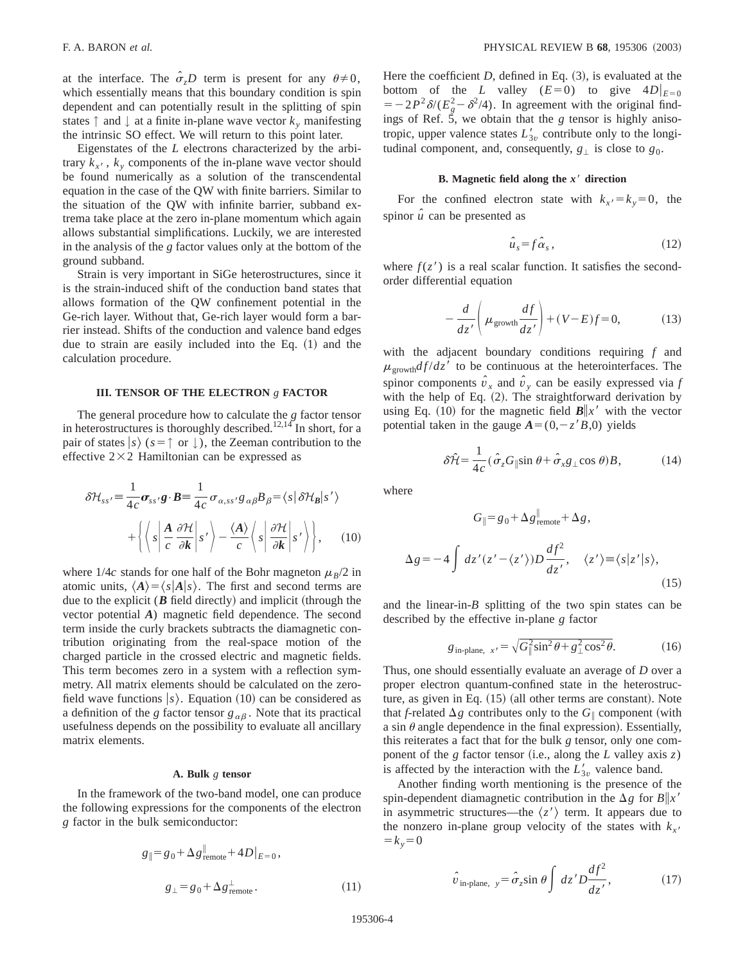at the interface. The  $\hat{\sigma}_zD$  term is present for any  $\theta \neq 0$ , which essentially means that this boundary condition is spin dependent and can potentially result in the splitting of spin states  $\uparrow$  and  $\downarrow$  at a finite in-plane wave vector  $k_y$  manifesting the intrinsic SO effect. We will return to this point later.

Eigenstates of the *L* electrons characterized by the arbitrary  $k_{x}$ ,  $k_{y}$  components of the in-plane wave vector should be found numerically as a solution of the transcendental equation in the case of the QW with finite barriers. Similar to the situation of the QW with infinite barrier, subband extrema take place at the zero in-plane momentum which again allows substantial simplifications. Luckily, we are interested in the analysis of the *g* factor values only at the bottom of the ground subband.

Strain is very important in SiGe heterostructures, since it is the strain-induced shift of the conduction band states that allows formation of the QW confinement potential in the Ge-rich layer. Without that, Ge-rich layer would form a barrier instead. Shifts of the conduction and valence band edges due to strain are easily included into the Eq.  $(1)$  and the calculation procedure.

### **III. TENSOR OF THE ELECTRON** *g* **FACTOR**

The general procedure how to calculate the *g* factor tensor in heterostructures is thoroughly described.<sup>12,14</sup> In short, for a pair of states  $|s\rangle$  ( $s = \uparrow$  or  $\downarrow$ ), the Zeeman contribution to the effective  $2\times2$  Hamiltonian can be expressed as

$$
\delta \mathcal{H}_{ss'} = \frac{1}{4c} \sigma_{ss'} g \cdot B = \frac{1}{4c} \sigma_{\alpha,ss'} g_{\alpha\beta} B_{\beta} = \langle s | \delta \mathcal{H}_B | s' \rangle
$$

$$
+ \left\{ \left\langle s \left| \frac{A}{c} \frac{\partial \mathcal{H}}{\partial k} \right| s' \right\rangle - \frac{\langle A \rangle}{c} \left\langle s \left| \frac{\partial \mathcal{H}}{\partial k} \right| s' \right\rangle \right\}, \qquad (10)
$$

where  $1/4c$  stands for one half of the Bohr magneton  $\mu_B/2$  in atomic units,  $\langle A \rangle = \langle s | A | s \rangle$ . The first and second terms are due to the explicit  $(B$  field directly) and implicit (through the vector potential *A*) magnetic field dependence. The second term inside the curly brackets subtracts the diamagnetic contribution originating from the real-space motion of the charged particle in the crossed electric and magnetic fields. This term becomes zero in a system with a reflection symmetry. All matrix elements should be calculated on the zerofield wave functions  $|s\rangle$ . Equation (10) can be considered as a definition of the *g* factor tensor  $g_{\alpha\beta}$ . Note that its practical usefulness depends on the possibility to evaluate all ancillary matrix elements.

## **A. Bulk** *g* **tensor**

In the framework of the two-band model, one can produce the following expressions for the components of the electron *g* factor in the bulk semiconductor:

$$
g_{\parallel} = g_0 + \Delta g_{\text{remote}}^{\parallel} + 4D|_{E=0},
$$
  

$$
g_{\perp} = g_0 + \Delta g_{\text{remote}}^{\perp}.
$$
 (11)

Here the coefficient  $D$ , defined in Eq.  $(3)$ , is evaluated at the bottom of the *L* valley ( $E=0$ ) to give  $4D|_{E=0}$  $=$  -2 $P^2\delta/(E_g^2-\delta^2/4)$ . In agreement with the original findings of Ref. 5, we obtain that the *g* tensor is highly anisotropic, upper valence states  $L'_{3v}$  contribute only to the longitudinal component, and, consequently,  $g_{\perp}$  is close to  $g_0$ .

#### **B. Magnetic field along the** *x*8 **direction**

For the confined electron state with  $k_x = k_y = 0$ , the spinor  $\hat{u}$  can be presented as

$$
\hat{u}_s = f \hat{\alpha}_s, \qquad (12)
$$

where  $f(z')$  is a real scalar function. It satisfies the secondorder differential equation

$$
-\frac{d}{dz'}\left(\mu_{\text{growth}}\frac{df}{dz'}\right) + (V - E)f = 0,\tag{13}
$$

with the adjacent boundary conditions requiring *f* and  $\mu_{\text{growth}}$ *d f* /*d*z<sup>'</sup> to be continuous at the heterointerfaces. The spinor components  $\hat{v}_x$  and  $\hat{v}_y$  can be easily expressed via *f* with the help of Eq.  $(2)$ . The straightforward derivation by using Eq. (10) for the magnetic field  $B\|x'$  with the vector potential taken in the gauge  $A=(0,-z^{\prime}B,0)$  yields

$$
\delta \hat{\mathcal{H}} = \frac{1}{4c} (\hat{\sigma}_z G_{\parallel} \sin \theta + \hat{\sigma}_x g_{\perp} \cos \theta) B, \tag{14}
$$

where

$$
G_{\parallel} = g_0 + \Delta g_{\text{remote}}^{\parallel} + \Delta g,
$$
  

$$
\Delta g = -4 \int dz'(z' - \langle z' \rangle) D \frac{df^2}{dz'}, \quad \langle z' \rangle = \langle s|z'|s \rangle,
$$
 (15)

and the linear-in-*B* splitting of the two spin states can be described by the effective in-plane *g* factor

$$
g_{\text{in-plane, }x'} = \sqrt{G_{\parallel}^2 \sin^2 \theta + g_{\perp}^2 \cos^2 \theta}.
$$
 (16)

Thus, one should essentially evaluate an average of *D* over a proper electron quantum-confined state in the heterostructure, as given in Eq.  $(15)$  (all other terms are constant). Note that *f*-related  $\Delta g$  contributes only to the  $G_{\parallel}$  component (with a sin  $\theta$  angle dependence in the final expression). Essentially, this reiterates a fact that for the bulk *g* tensor, only one component of the  $g$  factor tensor (i.e., along the  $L$  valley axis  $z$ ) is affected by the interaction with the  $L'_{3v}$  valence band.

Another finding worth mentioning is the presence of the spin-dependent diamagnetic contribution in the  $\Delta g$  for  $B||x'$ in asymmetric structures—the  $\langle z' \rangle$  term. It appears due to the nonzero in-plane group velocity of the states with  $k_x = k_y = 0$ 

$$
\hat{v}_{\text{in-plane, }y} = \hat{\sigma}_z \sin \theta \int dz' D \frac{df^2}{dz'}, \qquad (17)
$$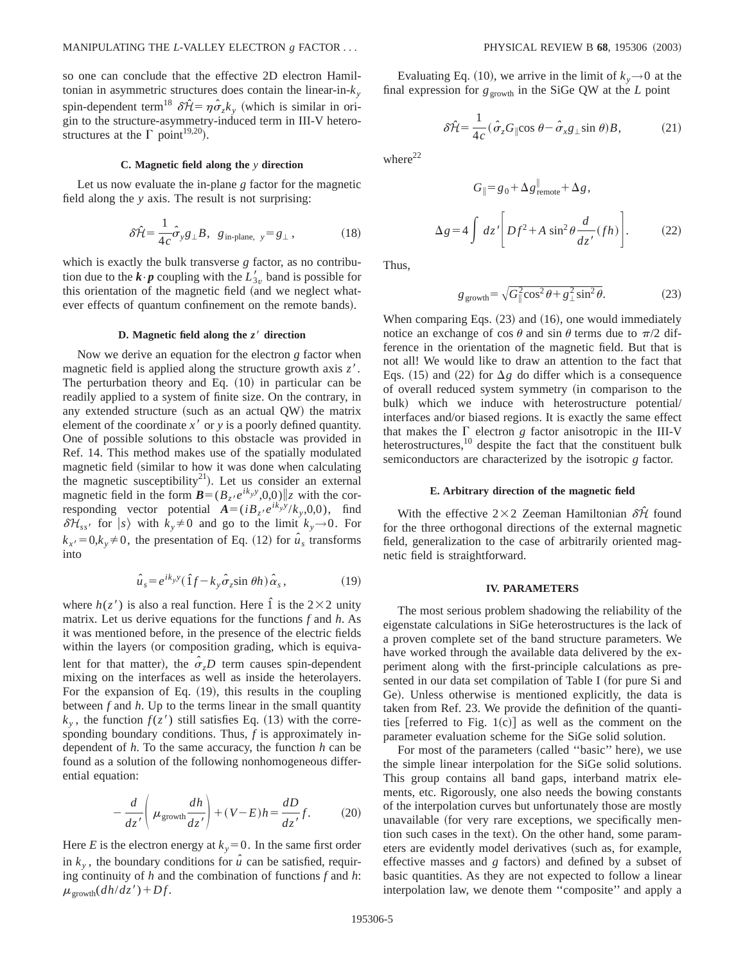so one can conclude that the effective 2D electron Hamiltonian in asymmetric structures does contain the linear-in-*ky* spin-dependent term<sup>18</sup>  $\delta \hat{\mathcal{H}} = \eta \hat{\sigma}_z k_y$  (which is similar in origin to the structure-asymmetry-induced term in III-V heterostructures at the  $\Gamma$  point<sup>19,20</sup>).

### **C. Magnetic field along the** *y* **direction**

Let us now evaluate the in-plane *g* factor for the magnetic field along the *y* axis. The result is not surprising:

$$
\delta \hat{\mathcal{H}} = \frac{1}{4c} \hat{\sigma}_y g_{\perp} B, \ \ g_{\text{in-plane, } y} = g_{\perp}, \tag{18}
$$

which is exactly the bulk transverse *g* factor, as no contribution due to the  $\mathbf{k} \cdot \mathbf{p}$  coupling with the  $L'_{3v}$  band is possible for this orientation of the magnetic field (and we neglect whatever effects of quantum confinement on the remote bands).

## **D.** Magnetic field along the  $z'$  direction

Now we derive an equation for the electron *g* factor when magnetic field is applied along the structure growth axis  $z'$ . The perturbation theory and Eq.  $(10)$  in particular can be readily applied to a system of finite size. On the contrary, in any extended structure (such as an actual  $QW$ ) the matrix element of the coordinate  $x<sup>3</sup>$  or  $y$  is a poorly defined quantity. One of possible solutions to this obstacle was provided in Ref. 14. This method makes use of the spatially modulated magnetic field (similar to how it was done when calculating the magnetic susceptibility<sup>21</sup>). Let us consider an external magnetic field in the form  $\mathbf{B} = (B_z/e^{ik_y y}, 0, 0) || z$  with the corresponding vector potential  $A = (iB_z/e^{ik_y y}/k_y, 0, 0)$ , find  $\delta\mathcal{H}_{ss'}$  for  $|s\rangle$  with  $k_v \neq 0$  and go to the limit  $k_v \rightarrow 0$ . For  $k_{x} = 0, k_{y} \neq 0$ , the presentation of Eq. (12) for  $\hat{u}_{s}$  transforms into

$$
\hat{u}_s = e^{ik_y y} (\hat{1}f - k_y \hat{\sigma}_z \sin \theta h) \hat{\alpha}_s, \qquad (19)
$$

where  $h(z')$  is also a real function. Here  $\hat{1}$  is the 2×2 unity matrix. Let us derive equations for the functions *f* and *h*. As it was mentioned before, in the presence of the electric fields within the layers (or composition grading, which is equivalent for that matter), the  $\hat{\sigma}_zD$  term causes spin-dependent mixing on the interfaces as well as inside the heterolayers. For the expansion of Eq.  $(19)$ , this results in the coupling between *f* and *h*. Up to the terms linear in the small quantity  $k_{y}$ , the function  $f(z')$  still satisfies Eq. (13) with the corresponding boundary conditions. Thus, *f* is approximately independent of *h*. To the same accuracy, the function *h* can be found as a solution of the following nonhomogeneous differential equation:

$$
-\frac{d}{dz'}\left(\mu_{\text{growth}}\frac{dh}{dz'}\right) + (V - E)h = \frac{dD}{dz'}f.
$$
 (20)

Here *E* is the electron energy at  $k_y = 0$ . In the same first order in  $k_y$ , the boundary conditions for  $\hat{u}$  can be satisfied, requiring continuity of *h* and the combination of functions *f* and *h*:  $\mu_{\text{growth}}(dh/dz') + Df$ .

Evaluating Eq. (10), we arrive in the limit of  $k_y \rightarrow 0$  at the final expression for  $g_{\text{growth}}$  in the SiGe QW at the *L* point

$$
\delta \hat{\mathcal{H}} = \frac{1}{4c} (\hat{\sigma}_z G_{\parallel} \cos \theta - \hat{\sigma}_x g_{\perp} \sin \theta) B, \tag{21}
$$

where $^{22}$ 

$$
G_{\parallel} = g_0 + \Delta g_{\text{remote}}^{\parallel} + \Delta g,
$$
  

$$
\Delta g = 4 \int dz' \left[ Df^2 + A \sin^2 \theta \frac{d}{dz'} (fh) \right].
$$
 (22)

Thus,

$$
g_{\text{growth}} = \sqrt{G_{\parallel}^2 \cos^2 \theta + g_{\perp}^2 \sin^2 \theta}.
$$
 (23)

When comparing Eqs.  $(23)$  and  $(16)$ , one would immediately notice an exchange of cos  $\theta$  and sin  $\theta$  terms due to  $\pi/2$  difference in the orientation of the magnetic field. But that is not all! We would like to draw an attention to the fact that Eqs. (15) and (22) for  $\Delta g$  do differ which is a consequence of overall reduced system symmetry (in comparison to the bulk) which we induce with heterostructure potential/ interfaces and/or biased regions. It is exactly the same effect that makes the  $\Gamma$  electron *g* factor anisotropic in the III-V heterostructures, $^{10}$  despite the fact that the constituent bulk semiconductors are characterized by the isotropic *g* factor.

#### **E. Arbitrary direction of the magnetic field**

With the effective  $2\times2$  Zeeman Hamiltonian  $\delta\hat{\mathcal{H}}$  found for the three orthogonal directions of the external magnetic field, generalization to the case of arbitrarily oriented magnetic field is straightforward.

## **IV. PARAMETERS**

The most serious problem shadowing the reliability of the eigenstate calculations in SiGe heterostructures is the lack of a proven complete set of the band structure parameters. We have worked through the available data delivered by the experiment along with the first-principle calculations as presented in our data set compilation of Table I (for pure Si and Ge). Unless otherwise is mentioned explicitly, the data is taken from Ref. 23. We provide the definition of the quantities [referred to Fig. 1(c)] as well as the comment on the parameter evaluation scheme for the SiGe solid solution.

For most of the parameters (called "basic" here), we use the simple linear interpolation for the SiGe solid solutions. This group contains all band gaps, interband matrix elements, etc. Rigorously, one also needs the bowing constants of the interpolation curves but unfortunately those are mostly unavailable (for very rare exceptions, we specifically mention such cases in the text). On the other hand, some parameters are evidently model derivatives (such as, for example, effective masses and  $g$  factors) and defined by a subset of basic quantities. As they are not expected to follow a linear interpolation law, we denote them ''composite'' and apply a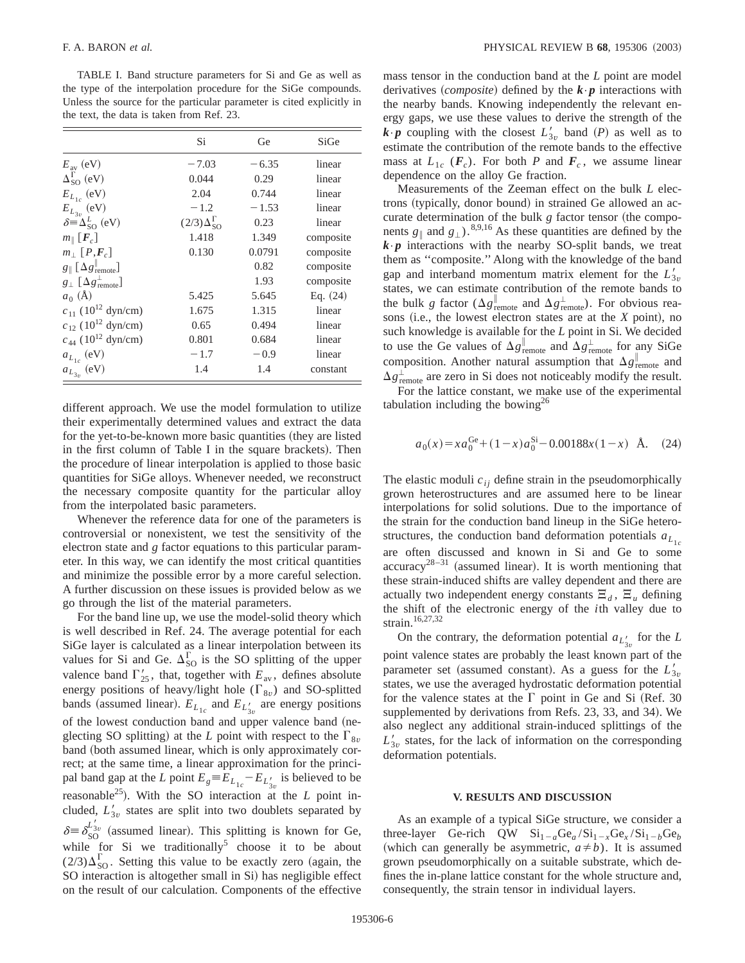TABLE I. Band structure parameters for Si and Ge as well as the type of the interpolation procedure for the SiGe compounds. Unless the source for the particular parameter is cited explicitly in the text, the data is taken from Ref. 23.

|                                                                     | Si                          | Ge      | SiGe       |
|---------------------------------------------------------------------|-----------------------------|---------|------------|
| $E_{\text{av}}$ (eV)                                                | $-7.03$                     | $-6.35$ | linear     |
| $\Delta_{SO}^{\Gamma}$ (eV)                                         | 0.044                       | 0.29    | linear     |
| $E_{L_{1c}}$ (eV)                                                   | 2.04                        | 0.744   | linear     |
| $\stackrel{\cdot \phantom{.} }{E_{L_{3v}}}\left(\mathrm{eV}\right)$ | $-1.2$                      | $-1.53$ | linear     |
| $\delta \equiv \Delta_{SO}^L$ (eV)                                  | $(2/3)\Delta_{SO}^{\Gamma}$ | 0.23    | linear     |
| $m_{\parallel}$ [ $F_c$ ]                                           | 1.418                       | 1.349   | composite  |
| $m_{\perp}$ [P, $F_c$ ]                                             | 0.130                       | 0.0791  | composite  |
| $g_{\parallel}$ [ $\Delta g_{\rm remote}^{\parallel}$ ]             |                             | 0.82    | composite  |
| $g_{\perp}$ $\lceil \Delta g_{\text{remote}}^{\perp} \rceil$        |                             | 1.93    | composite  |
| $a_0$ (Å)                                                           | 5.425                       | 5.645   | Eq. $(24)$ |
| $c_{11}$ (10 <sup>12</sup> dyn/cm)                                  | 1.675                       | 1.315   | linear     |
| $c_{12}$ (10 <sup>12</sup> dyn/cm)                                  | 0.65                        | 0.494   | linear     |
| $c_{44}$ (10 <sup>12</sup> dyn/cm)                                  | 0.801                       | 0.684   | linear     |
| $a_{L_{1c}}$ (eV)                                                   | $-1.7$                      | $-0.9$  | linear     |
| $a_{L_{3v}}$ (eV)                                                   | 1.4                         | 1.4     | constant   |

different approach. We use the model formulation to utilize their experimentally determined values and extract the data for the yet-to-be-known more basic quantities (they are listed in the first column of Table I in the square brackets). Then the procedure of linear interpolation is applied to those basic quantities for SiGe alloys. Whenever needed, we reconstruct the necessary composite quantity for the particular alloy from the interpolated basic parameters.

Whenever the reference data for one of the parameters is controversial or nonexistent, we test the sensitivity of the electron state and *g* factor equations to this particular parameter. In this way, we can identify the most critical quantities and minimize the possible error by a more careful selection. A further discussion on these issues is provided below as we go through the list of the material parameters.

For the band line up, we use the model-solid theory which is well described in Ref. 24. The average potential for each SiGe layer is calculated as a linear interpolation between its values for Si and Ge.  $\Delta_{SO}^{\Gamma}$  is the SO splitting of the upper valence band  $\Gamma'_{25}$ , that, together with  $E_{av}$ , defines absolute energy positions of heavy/light hole  $(\Gamma_{8v})$  and SO-splitted bands (assumed linear).  $E_{L_{1c}}$  and  $E_{L'_{3v}}$  are energy positions of the lowest conduction band and upper valence band (neglecting SO splitting) at the *L* point with respect to the  $\Gamma_{8v}$ band (both assumed linear, which is only approximately correct; at the same time, a linear approximation for the principal band gap at the *L* point  $E_g \equiv E_{L_{1c}} - E_{L'_{3v}}$  is believed to be reasonable<sup>25</sup>). With the SO interaction at the *L* point included,  $L'_{3v}$  states are split into two doublets separated by  $\delta \equiv \delta_{SO}^{L'_{3v}}$  (assumed linear). This splitting is known for Ge, while for Si we traditionally<sup>5</sup> choose it to be about  $(2/3)\Delta_{SO}^{\Gamma}$ . Setting this value to be exactly zero (again, the SO interaction is altogether small in Si) has negligible effect on the result of our calculation. Components of the effective mass tensor in the conduction band at the *L* point are model derivatives (*composite*) defined by the  $\mathbf{k} \cdot \mathbf{p}$  interactions with the nearby bands. Knowing independently the relevant energy gaps, we use these values to derive the strength of the  $\mathbf{k} \cdot \mathbf{p}$  coupling with the closest  $L'_{3v}$  band  $(P)$  as well as to estimate the contribution of the remote bands to the effective mass at  $L_{1c}$  ( $\mathbf{F}_c$ ). For both *P* and  $\mathbf{F}_c$ , we assume linear dependence on the alloy Ge fraction.

Measurements of the Zeeman effect on the bulk *L* electrons (typically, donor bound) in strained Ge allowed an accurate determination of the bulk *g* factor tensor (the components  $g_{\parallel}$  and  $g_{\perp}$ ).<sup>8,9,16</sup> As these quantities are defined by the  $k \cdot p$  interactions with the nearby SO-split bands, we treat them as ''composite.'' Along with the knowledge of the band gap and interband momentum matrix element for the  $L'_{3v}$ states, we can estimate contribution of the remote bands to the bulk *g* factor ( $\Delta g_{\text{remote}}^{\parallel}$  and  $\Delta g_{\text{remote}}^{\perp}$ ). For obvious reasons (i.e., the lowest electron states are at the *X* point), no such knowledge is available for the *L* point in Si. We decided to use the Ge values of  $\Delta g_{\text{remote}}^{\parallel}$  and  $\Delta g_{\text{remote}}^{\perp}$  for any SiGe composition. Another natural assumption that  $\Delta g_{\text{remote}}^{\parallel}$  and  $\Delta g_{\text{remote}}^{\perp}$  are zero in Si does not noticeably modify the result.

For the lattice constant, we make use of the experimental tabulation including the bowing<sup>26</sup>

$$
a_0(x) = xa_0^{\text{Ge}} + (1-x)a_0^{\text{Si}} - 0.00188x(1-x) \text{ Å.}
$$
 (24)

The elastic moduli  $c_{ij}$  define strain in the pseudomorphically grown heterostructures and are assumed here to be linear interpolations for solid solutions. Due to the importance of the strain for the conduction band lineup in the SiGe heterostructures, the conduction band deformation potentials  $a_{L_1}$ are often discussed and known in Si and Ge to some accuracy<sup>28–31</sup> (assumed linear). It is worth mentioning that these strain-induced shifts are valley dependent and there are actually two independent energy constants  $\Xi_d$ ,  $\Xi_u$  defining the shift of the electronic energy of the *i*th valley due to strain.16,27,32

On the contrary, the deformation potential  $a_{L'_{3v}}$  for the *L* point valence states are probably the least known part of the parameter set (assumed constant). As a guess for the  $L'_{3v}$ states, we use the averaged hydrostatic deformation potential for the valence states at the  $\Gamma$  point in Ge and Si (Ref. 30) supplemented by derivations from Refs. 23, 33, and 34). We also neglect any additional strain-induced splittings of the  $L'_{3v}$  states, for the lack of information on the corresponding deformation potentials.

# **V. RESULTS AND DISCUSSION**

As an example of a typical SiGe structure, we consider a three-layer Ge-rich QW  $\text{Si}_{1-a}\text{Ge}_a/\text{Si}_{1-x}\text{Ge}_x/\text{Si}_{1-b}\text{Ge}_b$ (which can generally be asymmetric,  $a \neq b$ ). It is assumed grown pseudomorphically on a suitable substrate, which defines the in-plane lattice constant for the whole structure and, consequently, the strain tensor in individual layers.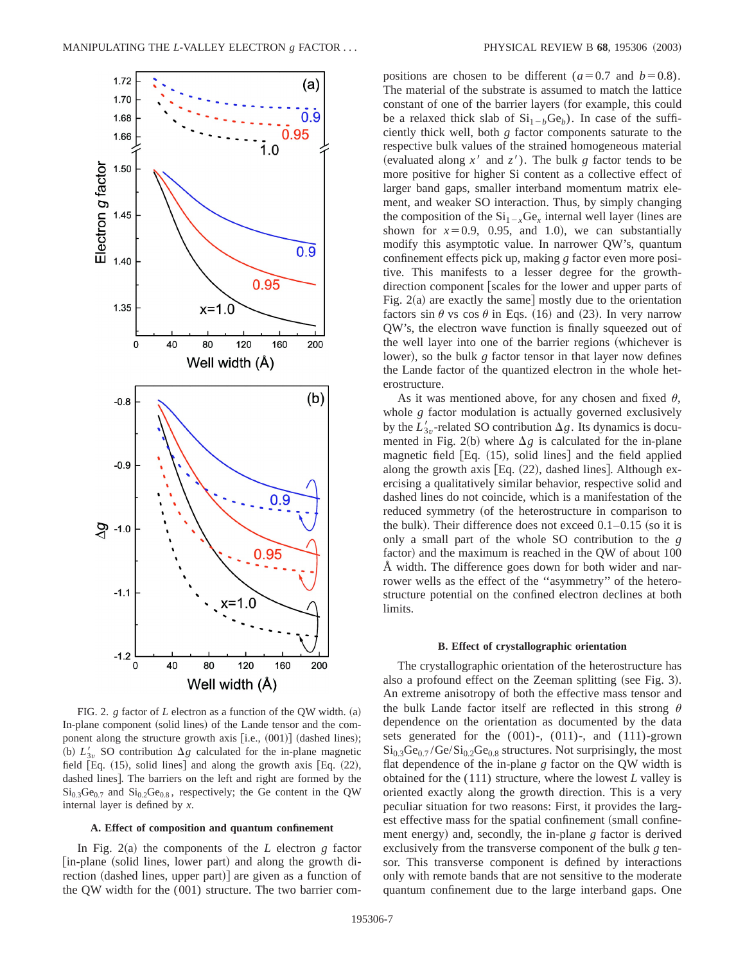

FIG. 2.  $g$  factor of  $L$  electron as a function of the OW width. (a) In-plane component (solid lines) of the Lande tensor and the component along the structure growth axis  $[i.e., (001)]$  (dashed lines); (b)  $L'_{3v}$  SO contribution  $\Delta g$  calculated for the in-plane magnetic field  $[Eq. (15),$  solid lines] and along the growth axis  $[Eq. (22),$ dashed lines]. The barriers on the left and right are formed by the  $Si<sub>0.3</sub>Ge<sub>0.7</sub>$  and  $Si<sub>0.2</sub>Ge<sub>0.8</sub>$ , respectively; the Ge content in the QW internal layer is defined by *x*.

## **A. Effect of composition and quantum confinement**

In Fig.  $2(a)$  the components of the *L* electron *g* factor [in-plane (solid lines, lower part) and along the growth direction  $(dashed lines, upper part)$  are given as a function of the QW width for the (001) structure. The two barrier compositions are chosen to be different ( $a=0.7$  and  $b=0.8$ ). The material of the substrate is assumed to match the lattice constant of one of the barrier layers (for example, this could be a relaxed thick slab of  $Si_{1-h}Ge_b$ ). In case of the sufficiently thick well, both *g* factor components saturate to the respective bulk values of the strained homogeneous material (evaluated along  $x^{\prime}$  and  $z^{\prime}$ ). The bulk *g* factor tends to be more positive for higher Si content as a collective effect of larger band gaps, smaller interband momentum matrix element, and weaker SO interaction. Thus, by simply changing the composition of the  $Si_{1-x}Ge_x$  internal well layer (lines are shown for  $x=0.9$ , 0.95, and 1.0), we can substantially modify this asymptotic value. In narrower QW's, quantum confinement effects pick up, making *g* factor even more positive. This manifests to a lesser degree for the growthdirection component [scales for the lower and upper parts of Fig.  $2(a)$  are exactly the same] mostly due to the orientation factors sin  $\theta$  vs cos  $\theta$  in Eqs. (16) and (23). In very narrow QW's, the electron wave function is finally squeezed out of the well layer into one of the barrier regions (whichever is lower), so the bulk *g* factor tensor in that layer now defines the Lande factor of the quantized electron in the whole heterostructure.

As it was mentioned above, for any chosen and fixed  $\theta$ , whole *g* factor modulation is actually governed exclusively by the  $L'_{3v}$ -related SO contribution  $\Delta g$ . Its dynamics is documented in Fig. 2(b) where  $\Delta g$  is calculated for the in-plane magnetic field  $[Eq. (15), solid lines]$  and the field applied along the growth axis  $[Eq. (22), dashed lines]$ . Although exercising a qualitatively similar behavior, respective solid and dashed lines do not coincide, which is a manifestation of the reduced symmetry (of the heterostructure in comparison to the bulk). Their difference does not exceed  $0.1-0.15$  (so it is only a small part of the whole SO contribution to the *g* factor) and the maximum is reached in the QW of about 100 Å width. The difference goes down for both wider and narrower wells as the effect of the ''asymmetry'' of the heterostructure potential on the confined electron declines at both limits.

#### **B. Effect of crystallographic orientation**

The crystallographic orientation of the heterostructure has also a profound effect on the Zeeman splitting (see Fig. 3). An extreme anisotropy of both the effective mass tensor and the bulk Lande factor itself are reflected in this strong  $\theta$ dependence on the orientation as documented by the data sets generated for the (001)-, (011)-, and (111)-grown  $\mathrm{Si}_{0.3}\mathrm{Ge}_{0.7}$  /Ge/ $\mathrm{Si}_{0.2}\mathrm{Ge}_{0.8}$  structures. Not surprisingly, the most flat dependence of the in-plane *g* factor on the QW width is obtained for the (111) structure, where the lowest *L* valley is oriented exactly along the growth direction. This is a very peculiar situation for two reasons: First, it provides the largest effective mass for the spatial confinement (small confinement energy) and, secondly, the in-plane *g* factor is derived exclusively from the transverse component of the bulk *g* tensor. This transverse component is defined by interactions only with remote bands that are not sensitive to the moderate quantum confinement due to the large interband gaps. One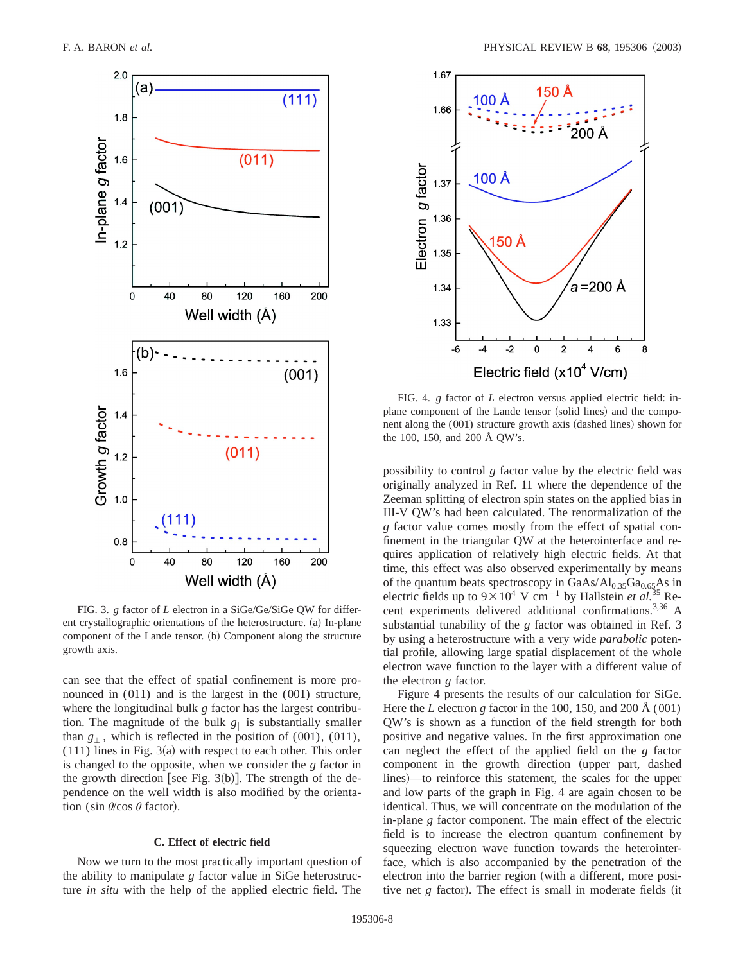

FIG. 3. *g* factor of *L* electron in a SiGe/Ge/SiGe QW for different crystallographic orientations of the heterostructure. (a) In-plane component of the Lande tensor. (b) Component along the structure growth axis.

can see that the effect of spatial confinement is more pronounced in (011) and is the largest in the (001) structure, where the longitudinal bulk *g* factor has the largest contribution. The magnitude of the bulk  $g_{\parallel}$  is substantially smaller than  $g_{\perp}$ , which is reflected in the position of (001), (011),  $(111)$  lines in Fig. 3 $(a)$  with respect to each other. This order is changed to the opposite, when we consider the *g* factor in the growth direction [see Fig. 3(b)]. The strength of the dependence on the well width is also modified by the orientation (sin  $\theta$ /cos  $\theta$  factor).

## **C. Effect of electric field**

Now we turn to the most practically important question of the ability to manipulate *g* factor value in SiGe heterostructure *in situ* with the help of the applied electric field. The



FIG. 4. *g* factor of *L* electron versus applied electric field: inplane component of the Lande tensor (solid lines) and the component along the  $(001)$  structure growth axis  $(dashed lines)$  shown for the 100, 150, and 200 Å QW's.

possibility to control *g* factor value by the electric field was originally analyzed in Ref. 11 where the dependence of the Zeeman splitting of electron spin states on the applied bias in III-V QW's had been calculated. The renormalization of the *g* factor value comes mostly from the effect of spatial confinement in the triangular QW at the heterointerface and requires application of relatively high electric fields. At that time, this effect was also observed experimentally by means of the quantum beats spectroscopy in GaAs/Al<sub>0.35</sub>Ga<sub>0.65</sub>As in electric fields up to  $9 \times 10^4$  V cm<sup>-1</sup> by Hallstein *et al.*<sup>35</sup> Reelectric fields up to  $9 \times 10^4$  V cm<sup>-1</sup> by Hallstein *et al.*<sup>3</sup> cent experiments delivered additional confirmations.<sup>3,36</sup> A substantial tunability of the *g* factor was obtained in Ref. 3 by using a heterostructure with a very wide *parabolic* potential profile, allowing large spatial displacement of the whole electron wave function to the layer with a different value of the electron *g* factor.

Figure 4 presents the results of our calculation for SiGe. Here the *L* electron *g* factor in the 100, 150, and 200 Å (001) QW's is shown as a function of the field strength for both positive and negative values. In the first approximation one can neglect the effect of the applied field on the *g* factor component in the growth direction (upper part, dashed lines)—to reinforce this statement, the scales for the upper and low parts of the graph in Fig. 4 are again chosen to be identical. Thus, we will concentrate on the modulation of the in-plane *g* factor component. The main effect of the electric field is to increase the electron quantum confinement by squeezing electron wave function towards the heterointerface, which is also accompanied by the penetration of the electron into the barrier region (with a different, more positive net  $g$  factor). The effect is small in moderate fields (it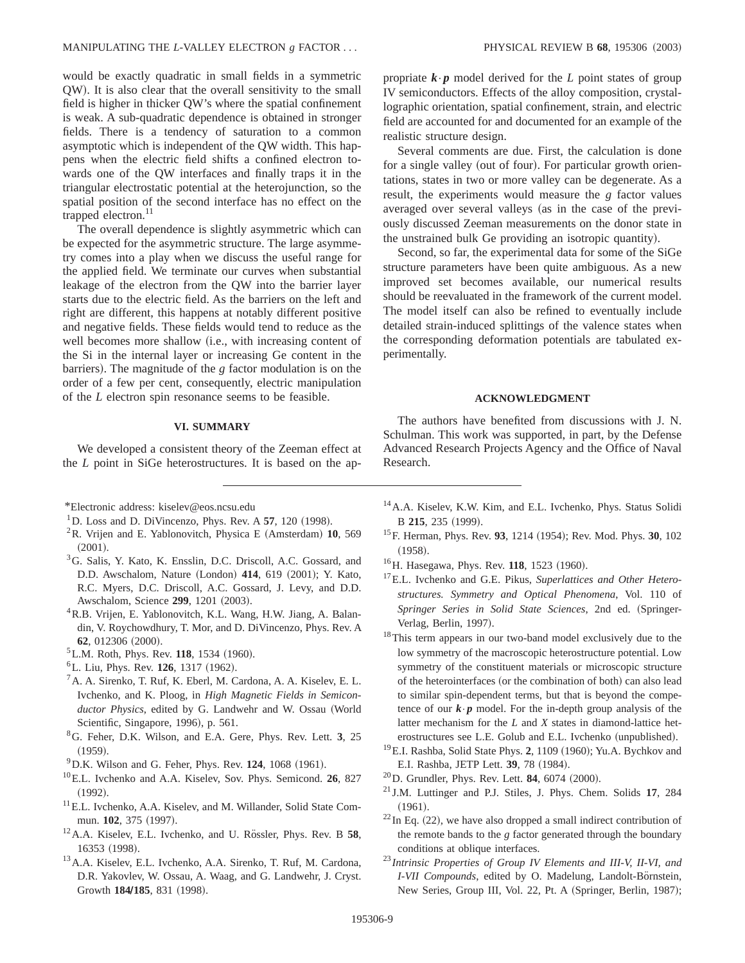would be exactly quadratic in small fields in a symmetric QW!. It is also clear that the overall sensitivity to the small field is higher in thicker QW's where the spatial confinement is weak. A sub-quadratic dependence is obtained in stronger fields. There is a tendency of saturation to a common asymptotic which is independent of the QW width. This happens when the electric field shifts a confined electron towards one of the QW interfaces and finally traps it in the triangular electrostatic potential at the heterojunction, so the spatial position of the second interface has no effect on the trapped electron.<sup>11</sup>

The overall dependence is slightly asymmetric which can be expected for the asymmetric structure. The large asymmetry comes into a play when we discuss the useful range for the applied field. We terminate our curves when substantial leakage of the electron from the QW into the barrier layer starts due to the electric field. As the barriers on the left and right are different, this happens at notably different positive and negative fields. These fields would tend to reduce as the well becomes more shallow (i.e., with increasing content of the Si in the internal layer or increasing Ge content in the barriers). The magnitude of the *g* factor modulation is on the order of a few per cent, consequently, electric manipulation of the *L* electron spin resonance seems to be feasible.

## **VI. SUMMARY**

We developed a consistent theory of the Zeeman effect at the *L* point in SiGe heterostructures. It is based on the ap-

- ${}^{2}$ R. Vrijen and E. Yablonovitch, Physica E (Amsterdam) 10, 569  $(2001).$
- 3G. Salis, Y. Kato, K. Ensslin, D.C. Driscoll, A.C. Gossard, and D.D. Awschalom, Nature (London) 414, 619 (2001); Y. Kato, R.C. Myers, D.C. Driscoll, A.C. Gossard, J. Levy, and D.D. Awschalom, Science 299, 1201 (2003).
- <sup>4</sup>R.B. Vrijen, E. Yablonovitch, K.L. Wang, H.W. Jiang, A. Balandin, V. Roychowdhury, T. Mor, and D. DiVincenzo, Phys. Rev. A **62**, 012306 (2000).
- <sup>5</sup>L.M. Roth, Phys. Rev. 118, 1534 (1960).
- <sup>6</sup>L. Liu, Phys. Rev. **126**, 1317 (1962).
- ${}^{7}$ A. A. Sirenko, T. Ruf, K. Eberl, M. Cardona, A. A. Kiselev, E. L. Ivchenko, and K. Ploog, in *High Magnetic Fields in Semiconductor Physics*, edited by G. Landwehr and W. Ossau (World Scientific, Singapore, 1996), p. 561.
- 8G. Feher, D.K. Wilson, and E.A. Gere, Phys. Rev. Lett. **3**, 25  $(1959).$
- $^{9}$ D.K. Wilson and G. Feher, Phys. Rev. 124, 1068 (1961).
- 10E.L. Ivchenko and A.A. Kiselev, Sov. Phys. Semicond. **26**, 827  $(1992).$
- <sup>11</sup> E.L. Ivchenko, A.A. Kiselev, and M. Willander, Solid State Commun. **102**, 375 (1997).
- <sup>12</sup>A.A. Kiselev, E.L. Ivchenko, and U. Rössler, Phys. Rev. B 58, 16353 (1998).
- 13A.A. Kiselev, E.L. Ivchenko, A.A. Sirenko, T. Ruf, M. Cardona, D.R. Yakovlev, W. Ossau, A. Waag, and G. Landwehr, J. Cryst. Growth 184/185, 831 (1998).

propriate  $\mathbf{k} \cdot \mathbf{p}$  model derived for the *L* point states of group IV semiconductors. Effects of the alloy composition, crystallographic orientation, spatial confinement, strain, and electric field are accounted for and documented for an example of the realistic structure design.

Several comments are due. First, the calculation is done for a single valley (out of four). For particular growth orientations, states in two or more valley can be degenerate. As a result, the experiments would measure the *g* factor values averaged over several valleys (as in the case of the previously discussed Zeeman measurements on the donor state in the unstrained bulk Ge providing an isotropic quantity).

Second, so far, the experimental data for some of the SiGe structure parameters have been quite ambiguous. As a new improved set becomes available, our numerical results should be reevaluated in the framework of the current model. The model itself can also be refined to eventually include detailed strain-induced splittings of the valence states when the corresponding deformation potentials are tabulated experimentally.

## **ACKNOWLEDGMENT**

The authors have benefited from discussions with J. N. Schulman. This work was supported, in part, by the Defense Advanced Research Projects Agency and the Office of Naval Research.

- 14A.A. Kiselev, K.W. Kim, and E.L. Ivchenko, Phys. Status Solidi B 215, 235 (1999).
- <sup>15</sup>F. Herman, Phys. Rev. 93, 1214 (1954); Rev. Mod. Phys. 30, 102  $(1958).$
- <sup>16</sup>H. Hasegawa, Phys. Rev. **118**, 1523 (1960).
- 17E.L. Ivchenko and G.E. Pikus, *Superlattices and Other Heterostructures. Symmetry and Optical Phenomena*, Vol. 110 of Springer Series in Solid State Sciences, 2nd ed. (Springer-Verlag, Berlin, 1997).
- <sup>18</sup>This term appears in our two-band model exclusively due to the low symmetry of the macroscopic heterostructure potential. Low symmetry of the constituent materials or microscopic structure of the heterointerfaces (or the combination of both) can also lead to similar spin-dependent terms, but that is beyond the competence of our  $\mathbf{k} \cdot \mathbf{p}$  model. For the in-depth group analysis of the latter mechanism for the *L* and *X* states in diamond-lattice heterostructures see L.E. Golub and E.L. Ivchenko (unpublished).
- <sup>19</sup>E.I. Rashba, Solid State Phys. 2, 1109 (1960); Yu.A. Bychkov and E.I. Rashba, JETP Lett. **39**, 78 (1984).
- $^{20}$ D. Grundler, Phys. Rev. Lett. **84**, 6074  $(2000)$ .
- <sup>21</sup> J.M. Luttinger and P.J. Stiles, J. Phys. Chem. Solids **17**, 284  $(1961).$
- $22$  In Eq. (22), we have also dropped a small indirect contribution of the remote bands to the *g* factor generated through the boundary conditions at oblique interfaces.
- <sup>23</sup> *Intrinsic Properties of Group IV Elements and III-V, II-VI, and I-VII Compounds*, edited by O. Madelung, Landolt-Börnstein, New Series, Group III, Vol. 22, Pt. A (Springer, Berlin, 1987);

<sup>\*</sup>Electronic address: kiselev@eos.ncsu.edu

 $1$ D. Loss and D. DiVincenzo, Phys. Rev. A **57**, 120 (1998).